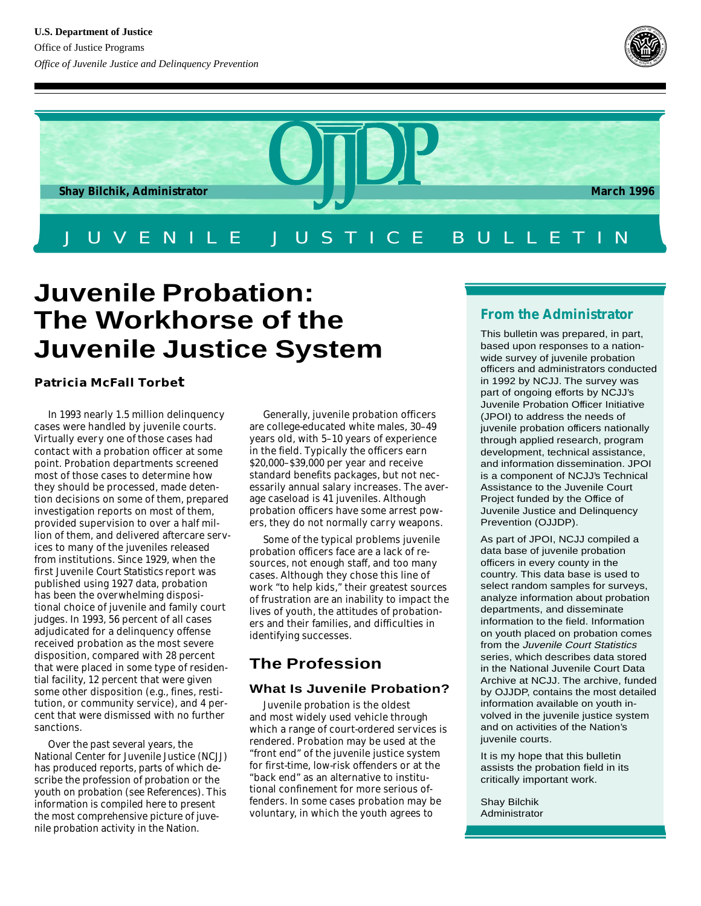



# **Juvenile Probation: The Workhorse of the Juvenile Justice System**

# **Patricia McFall Torbet**

In 1993 nearly 1.5 million delinquency cases were handled by juvenile courts. Virtually every one of those cases had contact with a probation officer at some point. Probation departments screened most of those cases to determine how they should be processed, made detention decisions on some of them, prepared investigation reports on most of them, provided supervision to over a half million of them, and delivered aftercare services to many of the juveniles released from institutions. Since 1929, when the first *Juvenile Court Statistics* report was published using 1927 data, probation has been the overwhelming dispositional choice of juvenile and family court judges. In 1993, 56 percent of all cases adjudicated for a delinquency offense received probation as the most severe disposition, compared with 28 percent that were placed in some type of residential facility, 12 percent that were given some other disposition (e.g., fines, restitution, or community service), and 4 percent that were dismissed with no further sanctions.

Over the past several years, the National Center for Juvenile Justice (NCJJ) has produced reports, parts of which describe the profession of probation or the youth on probation (see References). This information is compiled here to present the most comprehensive picture of juvenile probation activity in the Nation.

Generally, juvenile probation officers are college-educated white males, 30–49 years old, with 5–10 years of experience in the field. Typically the officers earn \$20,000–\$39,000 per year and receive standard benefits packages, but not necessarily annual salary increases. The average caseload is 41 juveniles. Although probation officers have some arrest powers, they do not normally carry weapons.

Some of the typical problems juvenile probation officers face are a lack of resources, not enough staff, and too many cases. Although they chose this line of work "to help kids," their greatest sources of frustration are an inability to impact the lives of youth, the attitudes of probationers and their families, and difficulties in identifying successes.

# **The Profession**

# **What Is Juvenile Probation?**

Juvenile probation is the oldest and most widely used vehicle through which a range of court-ordered services is rendered. Probation may be used at the "front end" of the juvenile justice system for first-time, low-risk offenders or at the "back end" as an alternative to institutional confinement for more serious offenders. In some cases probation may be voluntary, in which the youth agrees to

# **From the Administrator**

This bulletin was prepared, in part, based upon responses to a nationwide survey of juvenile probation officers and administrators conducted in 1992 by NCJJ. The survey was part of ongoing efforts by NCJJ's Juvenile Probation Officer Initiative (JPOI) to address the needs of juvenile probation officers nationally through applied research, program development, technical assistance, and information dissemination. JPOI is a component of NCJJ's Technical Assistance to the Juvenile Court Project funded by the Office of Juvenile Justice and Delinquency Prevention (OJJDP).

As part of JPOI, NCJJ compiled a data base of juvenile probation officers in every county in the country. This data base is used to select random samples for surveys, analyze information about probation departments, and disseminate information to the field. Information on youth placed on probation comes from the Juvenile Court Statistics series, which describes data stored in the National Juvenile Court Data Archive at NCJJ. The archive, funded by OJJDP, contains the most detailed information available on youth involved in the juvenile justice system and on activities of the Nation's juvenile courts.

It is my hope that this bulletin assists the probation field in its critically important work.

Shay Bilchik Administrator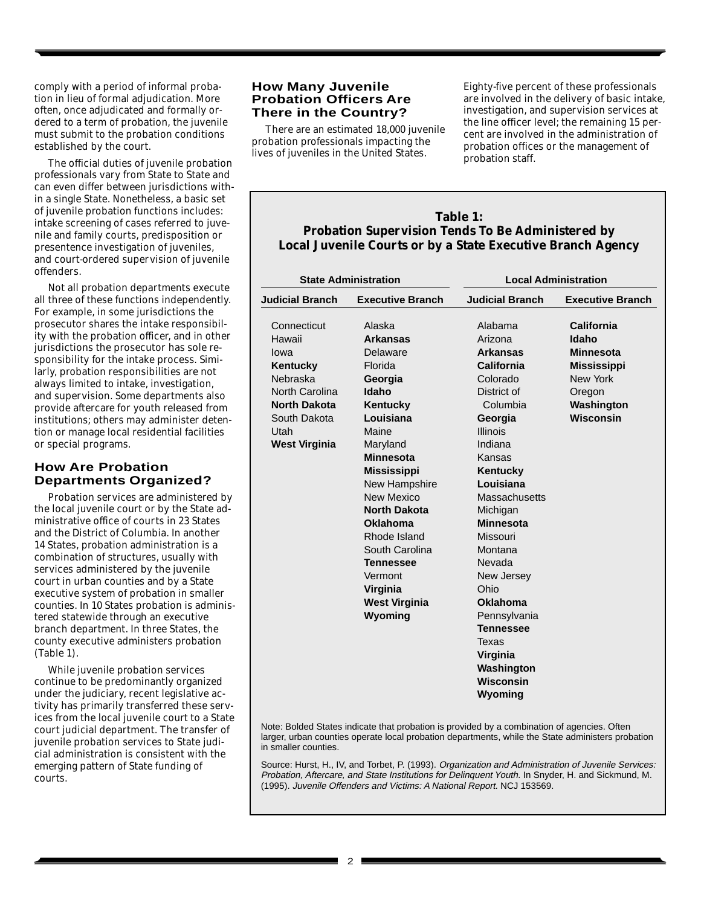comply with a period of informal probation in lieu of formal adjudication. More often, once adjudicated and formally ordered to a term of probation, the juvenile must submit to the probation conditions established by the court.

The official duties of juvenile probation professionals vary from State to State and can even differ between jurisdictions within a single State. Nonetheless, a basic set of juvenile probation functions includes: intake screening of cases referred to juvenile and family courts, predisposition or presentence investigation of juveniles, and court-ordered supervision of juvenile offenders.

Not all probation departments execute all three of these functions independently. For example, in some jurisdictions the prosecutor shares the intake responsibility with the probation officer, and in other jurisdictions the prosecutor has sole responsibility for the intake process. Similarly, probation responsibilities are not always limited to intake, investigation, and supervision. Some departments also provide aftercare for youth released from institutions; others may administer detention or manage local residential facilities or special programs.

### **How Are Probation Departments Organized?**

Probation services are administered by the local juvenile court or by the State administrative office of courts in 23 States and the District of Columbia. In another 14 States, probation administration is a combination of structures, usually with services administered by the juvenile court in urban counties and by a State executive system of probation in smaller counties. In 10 States probation is administered statewide through an executive branch department. In three States, the county executive administers probation (Table 1).

While juvenile probation services continue to be predominantly organized under the judiciary, recent legislative activity has primarily transferred these services from the local juvenile court to a State court judicial department. The transfer of juvenile probation services to State judicial administration is consistent with the emerging pattern of State funding of courts.

### **How Many Juvenile Probation Officers Are There in the Country?**

There are an estimated 18,000 juvenile probation professionals impacting the lives of juveniles in the United States.

Eighty-five percent of these professionals are involved in the delivery of basic intake, investigation, and supervision services at the line officer level; the remaining 15 percent are involved in the administration of probation offices or the management of probation staff.

# **Table 1: Probation Supervision Tends To Be Administered by Local Juvenile Courts or by a State Executive Branch Agency**

Note: Bolded States indicate that probation is provided by a combination of agencies. Often larger, urban counties operate local probation departments, while the State administers probation in smaller counties.

Source: Hurst, H., IV, and Torbet, P. (1993). Organization and Administration of Juvenile Services: Probation, Aftercare, and State Institutions for Delinquent Youth. In Snyder, H. and Sickmund, M. (1995). Juvenile Offenders and Victims: A National Report. NCJ 153569.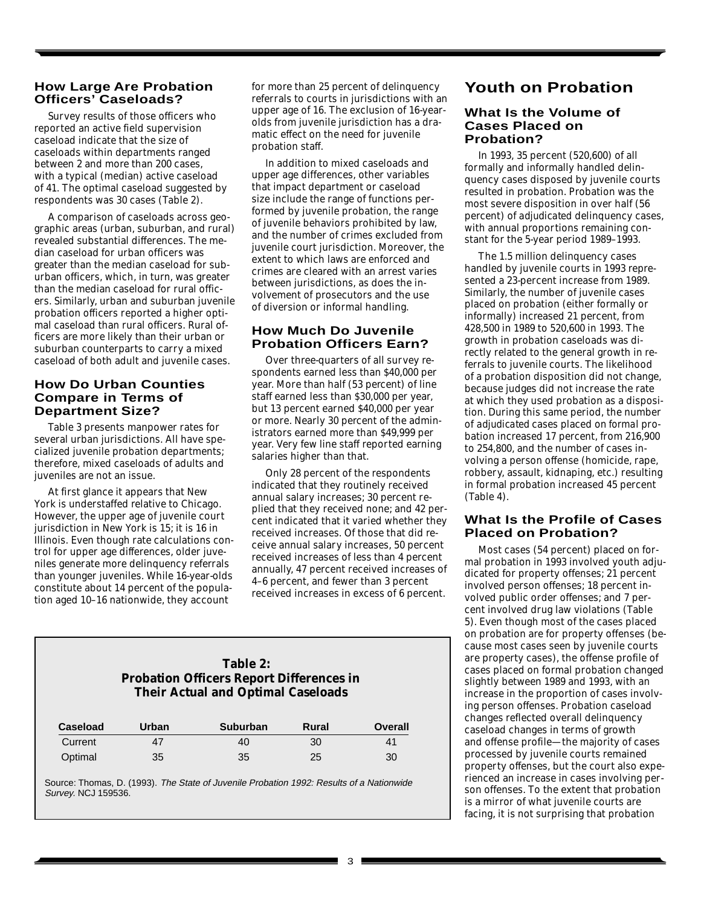#### **How Large Are Probation Officers' Caseloads?**

Survey results of those officers who reported an active field supervision caseload indicate that the size of caseloads within departments ranged between 2 and more than 200 cases, with a typical (median) active caseload of 41. The optimal caseload suggested by respondents was 30 cases (Table 2).

A comparison of caseloads across geographic areas (urban, suburban, and rural) revealed substantial differences. The median caseload for urban officers was greater than the median caseload for suburban officers, which, in turn, was greater than the median caseload for rural officers. Similarly, urban and suburban juvenile probation officers reported a higher optimal caseload than rural officers. Rural officers are more likely than their urban or suburban counterparts to carry a mixed caseload of both adult and juvenile cases.

### **How Do Urban Counties Compare in Terms of Department Size?**

Table 3 presents manpower rates for several urban jurisdictions. All have specialized juvenile probation departments; therefore, mixed caseloads of adults and juveniles are not an issue.

At first glance it appears that New York is understaffed relative to Chicago. However, the upper age of juvenile court jurisdiction in New York is 15; it is 16 in Illinois. Even though rate calculations control for upper age differences, older juveniles generate more delinquency referrals than younger juveniles. While 16-year-olds constitute about 14 percent of the population aged 10–16 nationwide, they account

for more than 25 percent of delinquency referrals to courts in jurisdictions with an upper age of 16. The exclusion of 16-yearolds from juvenile jurisdiction has a dramatic effect on the need for juvenile probation staff.

In addition to mixed caseloads and upper age differences, other variables that impact department or caseload size include the range of functions performed by juvenile probation, the range of juvenile behaviors prohibited by law, and the number of crimes excluded from juvenile court jurisdiction. Moreover, the extent to which laws are enforced and crimes are cleared with an arrest varies between jurisdictions, as does the involvement of prosecutors and the use of diversion or informal handling.

# **How Much Do Juvenile Probation Officers Earn?**

Over three-quarters of all survey respondents earned less than \$40,000 per year. More than half (53 percent) of line staff earned less than \$30,000 per year, but 13 percent earned \$40,000 per year or more. Nearly 30 percent of the administrators earned more than \$49,999 per year. Very few line staff reported earning salaries higher than that.

Only 28 percent of the respondents indicated that they routinely received annual salary increases; 30 percent replied that they received none; and 42 percent indicated that it varied whether they received increases. Of those that did receive annual salary increases, 50 percent received increases of less than 4 percent annually, 47 percent received increases of 4–6 percent, and fewer than 3 percent received increases in excess of 6 percent.

## **Table 2: Probation Officers Report Differences in Their Actual and Optimal Caseloads**

| Caseload | Urban | <b>Suburban</b> | Rural | Overall |
|----------|-------|-----------------|-------|---------|
| Current  | 47    | 40              | 30    | 41      |
| Optimal  | 35    | 35              | 25    | 30      |

Source: Thomas, D. (1993). The State of Juvenile Probation 1992: Results of a Nationwide Survey. NCJ 159536.

# **Youth on Probation**

#### **What Is the Volume of Cases Placed on Probation?**

In 1993, 35 percent (520,600) of all formally and informally handled delinquency cases disposed by juvenile courts resulted in probation. Probation was the most severe disposition in over half (56 percent) of *adjudicated* delinquency cases, with annual proportions remaining constant for the 5-year period 1989–1993.

The 1.5 million delinquency cases handled by juvenile courts in 1993 represented a 23-percent increase from 1989. Similarly, the number of juvenile cases placed on probation (either formally or informally) increased 21 percent, from 428,500 in 1989 to 520,600 in 1993. The growth in probation caseloads was directly related to the general growth in referrals to juvenile courts. The likelihood of a probation disposition did not change, because judges did not increase the rate at which they used probation as a disposition. During this same period, the number of *adjudicated* cases placed on *formal* probation increased 17 percent, from 216,900 to 254,800, and the number of cases involving a person offense (homicide, rape, robbery, assault, kidnaping, etc.) resulting in formal probation increased 45 percent (Table 4).

# **What Is the Profile of Cases Placed on Probation?**

Most cases (54 percent) placed on formal probation in 1993 involved youth adjudicated for property offenses; 21 percent involved person offenses; 18 percent involved public order offenses; and 7 percent involved drug law violations (Table 5). Even though most of the cases placed on probation are for property offenses (because most cases seen by juvenile courts are property cases), the offense profile of cases placed on formal probation changed slightly between 1989 and 1993, with an increase in the proportion of cases involving person offenses. Probation caseload changes reflected overall delinquency caseload changes in terms of growth and offense profile—the majority of cases processed by juvenile courts remained property offenses, but the court also experienced an increase in cases involving person offenses. To the extent that probation is a mirror of what juvenile courts are facing, it is not surprising that probation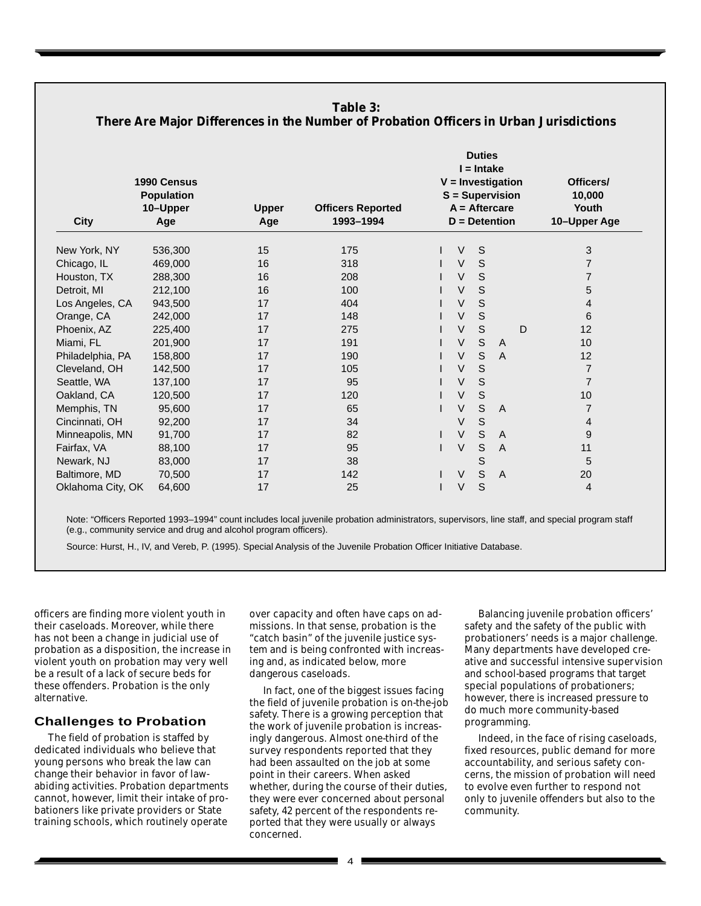| Table 3:<br>There Are Major Differences in the Number of Probation Officers in Urban Jurisdictions |                                                     |                     |                                       |  |              |               |                                                                              |   |                                              |
|----------------------------------------------------------------------------------------------------|-----------------------------------------------------|---------------------|---------------------------------------|--|--------------|---------------|------------------------------------------------------------------------------|---|----------------------------------------------|
| <b>City</b>                                                                                        | 1990 Census<br><b>Population</b><br>10-Upper<br>Age | <b>Upper</b><br>Age | <b>Officers Reported</b><br>1993-1994 |  | $I = Intake$ | <b>Duties</b> | $V =$ Investigation<br>S = Supervision<br>$A =$ Aftercare<br>$D =$ Detention |   | Officers/<br>10,000<br>Youth<br>10-Upper Age |
| New York, NY                                                                                       | 536,300                                             | 15                  | 175                                   |  | $\vee$       | $\mathsf S$   |                                                                              |   | 3                                            |
| Chicago, IL                                                                                        | 469,000                                             | 16                  | 318                                   |  | $\vee$       | S             |                                                                              |   | $\overline{7}$                               |
| Houston, TX                                                                                        | 288,300                                             | 16                  | 208                                   |  | $\vee$       | $\mathsf S$   |                                                                              |   | $\overline{7}$                               |
| Detroit, MI                                                                                        | 212,100                                             | 16                  | 100                                   |  | $\vee$       | $\mathsf S$   |                                                                              |   | $\mathbf 5$                                  |
| Los Angeles, CA                                                                                    | 943,500                                             | 17                  | 404                                   |  | $\vee$       | $\mathsf S$   |                                                                              |   | $\overline{4}$                               |
| Orange, CA                                                                                         | 242,000                                             | 17                  | 148                                   |  | $\vee$       | $\mathsf S$   |                                                                              |   | 6                                            |
| Phoenix, AZ                                                                                        | 225,400                                             | 17                  | 275                                   |  | $\vee$       | $\mathsf S$   |                                                                              | D | 12                                           |
| Miami, FL                                                                                          | 201,900                                             | 17                  | 191                                   |  | V            | $\mathsf S$   | A                                                                            |   | 10                                           |
| Philadelphia, PA                                                                                   | 158,800                                             | 17                  | 190                                   |  | $\vee$       | S             | $\overline{A}$                                                               |   | 12                                           |
| Cleveland, OH                                                                                      | 142,500                                             | 17                  | 105                                   |  | V            | $\mathsf S$   |                                                                              |   | $\overline{7}$                               |
| Seattle, WA                                                                                        | 137,100                                             | 17                  | 95                                    |  | $\vee$       | $\mathsf S$   |                                                                              |   | $\overline{7}$                               |
| Oakland, CA                                                                                        | 120,500                                             | 17                  | 120                                   |  | $\vee$       | $\mathsf S$   |                                                                              |   | 10                                           |
| Memphis, TN                                                                                        | 95,600                                              | 17                  | 65                                    |  | $\vee$       | $\mathsf S$   | A                                                                            |   | $\overline{7}$                               |
| Cincinnati, OH                                                                                     | 92,200                                              | 17                  | 34                                    |  | $\vee$       | S             |                                                                              |   | 4                                            |
| Minneapolis, MN                                                                                    | 91,700                                              | 17                  | 82                                    |  | $\vee$       | $\mathsf S$   | A                                                                            |   | 9                                            |
| Fairfax, VA                                                                                        | 88,100                                              | 17                  | 95                                    |  | $\vee$       | $\mathsf S$   | $\overline{A}$                                                               |   | 11                                           |
| Newark, NJ                                                                                         | 83,000                                              | 17                  | 38                                    |  |              | $\mathsf S$   |                                                                              |   | 5                                            |
| Baltimore, MD                                                                                      | 70,500                                              | 17                  | 142                                   |  | $\vee$       | $\mathsf S$   | A                                                                            |   | 20                                           |
| Oklahoma City, OK                                                                                  | 64,600                                              | 17                  | 25                                    |  | $\vee$       | S             |                                                                              |   | $\overline{4}$                               |

Note: "Officers Reported 1993–1994" count includes local juvenile probation administrators, supervisors, line staff, and special program staff (e.g., community service and drug and alcohol program officers).

Source: Hurst, H., IV, and Vereb, P. (1995). Special Analysis of the Juvenile Probation Officer Initiative Database.

officers are finding more violent youth in their caseloads. Moreover, while there has not been a change in judicial use of probation as a disposition, the increase in violent youth on probation may very well be a result of a lack of secure beds for these offenders. Probation is the only alternative.

#### **Challenges to Probation**

The field of probation is staffed by dedicated individuals who believe that young persons who break the law can change their behavior in favor of lawabiding activities. Probation departments cannot, however, limit their intake of probationers like private providers or State training schools, which routinely operate

over capacity and often have caps on admissions. In that sense, probation is the "catch basin" of the juvenile justice system and is being confronted with increasing and, as indicated below, more dangerous caseloads.

In fact, one of the biggest issues facing the field of juvenile probation is on-the-job safety. There is a growing perception that the work of juvenile probation is increasingly dangerous. Almost one-third of the survey respondents reported that they had been assaulted on the job at some point in their careers. When asked whether, during the course of their duties, they were ever concerned about personal safety, 42 percent of the respondents reported that they were usually or always concerned.

Balancing juvenile probation officers' safety and the safety of the public with probationers' needs is a major challenge. Many departments have developed creative and successful intensive supervision and school-based programs that target special populations of probationers; however, there is increased pressure to do much more community-based programming.

Indeed, in the face of rising caseloads, fixed resources, public demand for more accountability, and serious safety concerns, the mission of probation will need to evolve even further to respond not only to juvenile offenders but also to the community.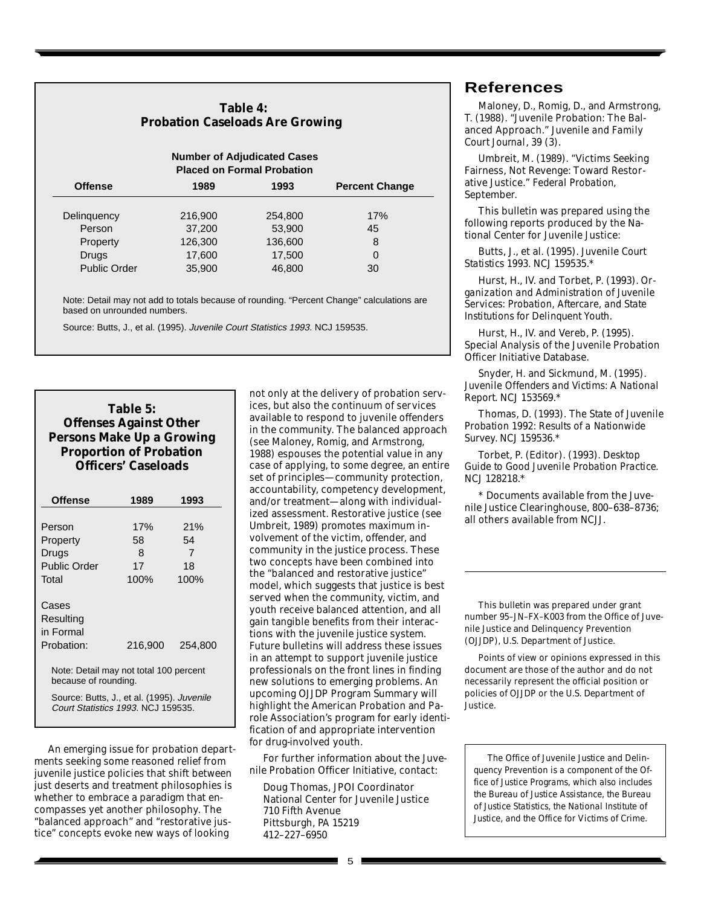# **Table 4: Probation Caseloads Are Growing**

| <b>Number of Adjudicated Cases</b><br><b>Placed on Formal Probation</b> |         |         |                       |  |  |
|-------------------------------------------------------------------------|---------|---------|-----------------------|--|--|
| <b>Offense</b>                                                          | 1989    | 1993    | <b>Percent Change</b> |  |  |
| Delinguency                                                             | 216,900 | 254,800 | 17%                   |  |  |
| Person                                                                  | 37,200  | 53,900  | 45                    |  |  |
| Property                                                                | 126,300 | 136,600 | 8                     |  |  |
| Drugs                                                                   | 17,600  | 17,500  | 0                     |  |  |
| <b>Public Order</b>                                                     | 35,900  | 46,800  | 30                    |  |  |

Note: Detail may not add to totals because of rounding. "Percent Change" calculations are based on unrounded numbers.

Source: Butts, J., et al. (1995). Juvenile Court Statistics 1993. NCJ 159535.

# **Table 5: Offenses Against Other Persons Make Up a Growing Proportion of Probation Officers' Caseloads**

| <b>Offense</b>                                                                   | 1989    | 1993    |  |  |  |  |
|----------------------------------------------------------------------------------|---------|---------|--|--|--|--|
|                                                                                  |         |         |  |  |  |  |
| Person                                                                           | 17%     | 21%     |  |  |  |  |
| Property                                                                         | 58      | 54      |  |  |  |  |
| Drugs                                                                            | 8       | 7       |  |  |  |  |
| Public Order                                                                     | 17      | 18      |  |  |  |  |
| Total                                                                            | 100%    | 100%    |  |  |  |  |
| Cases<br>Resulting<br>in Formal<br>Probation:                                    | 216,900 | 254,800 |  |  |  |  |
| Note: Detail may not total 100 percent<br>because of rounding.                   |         |         |  |  |  |  |
| Source: Butts, J., et al. (1995). Juvenile<br>Court Statistics 1993, NCJ 159535. |         |         |  |  |  |  |

An emerging issue for probation departments seeking some reasoned relief from juvenile justice policies that shift between just deserts and treatment philosophies is whether to embrace a paradigm that encompasses yet another philosophy. The "balanced approach" and "restorative justice" concepts evoke new ways of looking

not only at the delivery of probation services, but also the continuum of services available to respond to juvenile offenders in the community. The balanced approach (see Maloney, Romig, and Armstrong, 1988) espouses the potential value in any case of applying, to some degree, an entire set of principles—community protection, accountability, competency development, and/or treatment—along with individualized assessment. Restorative justice (see Umbreit, 1989) promotes maximum involvement of the victim, offender, and community in the justice process. These two concepts have been combined into the "balanced and restorative justice" model, which suggests that justice is best served when the community, victim, and youth receive balanced attention, and all gain tangible benefits from their interactions with the juvenile justice system. Future bulletins will address these issues in an attempt to support juvenile justice professionals on the front lines in finding new solutions to emerging problems. An upcoming OJJDP Program Summary will highlight the American Probation and Parole Association's program for early identification of and appropriate intervention for drug-involved youth.

For further information about the Juvenile Probation Officer Initiative, contact:

Doug Thomas, JPOI Coordinator National Center for Juvenile Justice 710 Fifth Avenue Pittsburgh, PA 15219 412–227–6950

# **References**

Maloney, D., Romig, D., and Armstrong, T. (1988). "Juvenile Probation: The Balanced Approach." *Juvenile and Family Court Journal*, 39 (3).

Umbreit, M. (1989). "Victims Seeking Fairness, Not Revenge: Toward Restorative Justice." *Federal Probation*, September.

This bulletin was prepared using the following reports produced by the National Center for Juvenile Justice:

Butts, J., et al. (1995). *Juvenile Court Statistics 1993*. NCJ 159535.\*

Hurst, H., IV. and Torbet, P. (1993). *Organization and Administration of Juvenile Services: Probation, Aftercare, and State Institutions for Delinquent Youth*.

Hurst, H., IV. and Vereb, P. (1995). Special Analysis of the Juvenile Probation Officer Initiative Database.

Snyder, H. and Sickmund, M. (1995). *Juvenile Offenders and Victims: A National Report*. NCJ 153569.\*

Thomas, D. (1993). *The State of Juvenile Probation 1992: Results of a Nationwide Survey*. NCJ 159536.\*

Torbet, P. (Editor). (1993). *Desktop Guide to Good Juvenile Probation Practice*. NCJ 128218.\*

\* Documents available from the Juvenile Justice Clearinghouse, 800–638–8736; all others available from NCJJ.

This bulletin was prepared under grant number 95–JN–FX–K003 from the Office of Juvenile Justice and Delinquency Prevention (OJJDP), U.S. Department of Justice.

Points of view or opinions expressed in this document are those of the author and do not necessarily represent the official position or policies of OJJDP or the U.S. Department of Justice.

*The Office of Juvenile Justice and Delinquency Prevention is a component of the Office of Justice Programs, which also includes the Bureau of Justice Assistance, the Bureau of Justice Statistics, the National Institute of Justice, and the Office for Victims of Crime.*